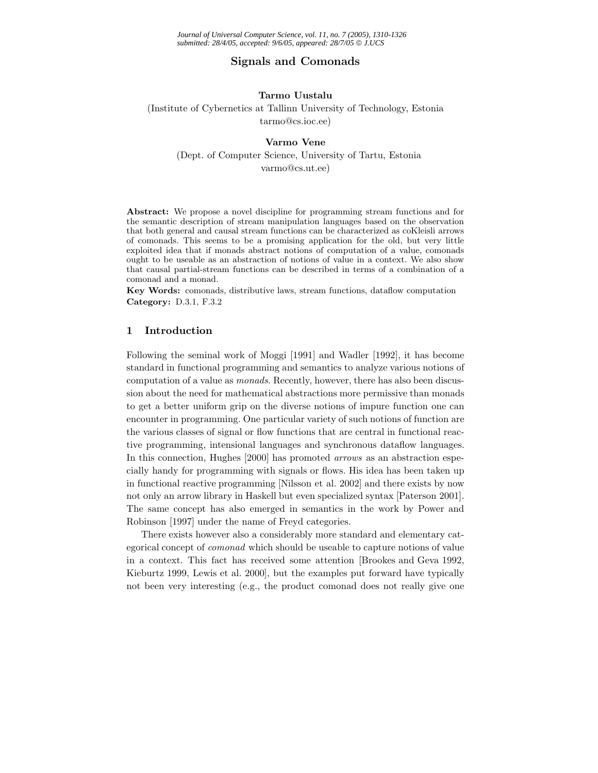# **Signals and Comonads**

# **Tarmo Uustalu** (Institute of Cybernetics at Tallinn University of Technology, Estonia tarmo@cs.ioc.ee)

# **Varmo Vene**

(Dept. of Computer Science, University of Tartu, Estonia

varmo@cs.ut.ee)

**Abstract:** We propose a novel discipline for programming stream functions and for the semantic description of stream manipulation languages based on the observation that both general and causal stream functions can be characterized as coKleisli arrows of comonads. This seems to be a promising application for the old, but very little exploited idea that if monads abstract notions of computation of a value, comonads ought to be useable as an abstraction of notions of value in a context. We also show that causal partial-stream functions can be described in terms of a combination of a comonad and a monad.

**Key Words:** comonads, distributive laws, stream functions, dataflow computation **Category:** D.3.1, F.3.2

# **1 Introduction**

Following the seminal work of Moggi [1991] and Wadler [1992], it has become standard in functional programming and semantics to analyze various notions of computation of a value as *monads*. Recently, however, there has also been discussion about the need for mathematical abstractions more permissive than monads to get a better uniform grip on the diverse notions of impure function one can encounter in programming. One particular variety of such notions of function are the various classes of signal or flow functions that are central in functional reactive programming, intensional languages and synchronous dataflow languages. In this connection, Hughes [2000] has promoted *arrows* as an abstraction especially handy for programming with signals or flows. His idea has been taken up in functional reactive programming [Nilsson et al. 2002] and there exists by now not only an arrow library in Haskell but even specialized syntax [Paterson 2001]. The same concept has also emerged in semantics in the work by Power and Robinson [1997] under the name of Freyd categories.

There exists however also a considerably more standard and elementary categorical concept of *comonad* which should be useable to capture notions of value in a context. This fact has received some attention [Brookes and Geva 1992, Kieburtz 1999, Lewis et al. 2000], but the examples put forward have typically not been very interesting (e.g., the product comonad does not really give one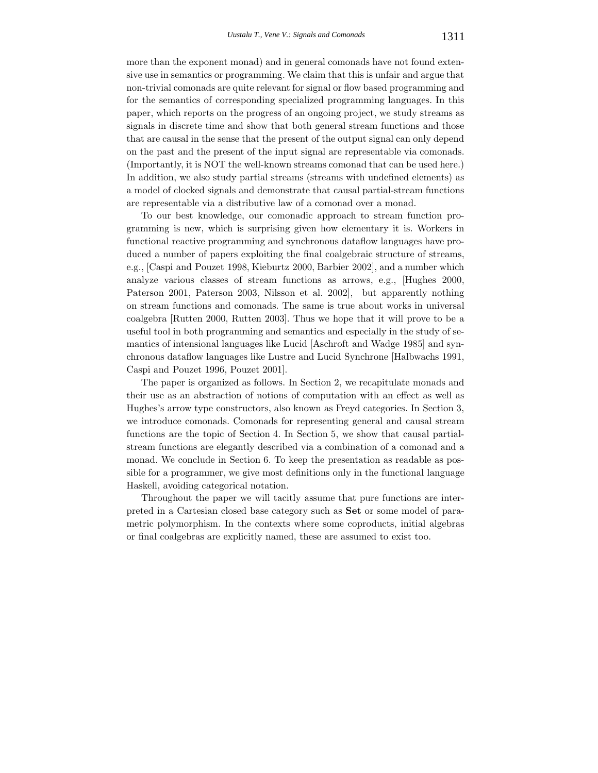more than the exponent monad) and in general comonads have not found extensive use in semantics or programming. We claim that this is unfair and argue that non-trivial comonads are quite relevant for signal or flow based programming and for the semantics of corresponding specialized programming languages. In this paper, which reports on the progress of an ongoing project, we study streams as signals in discrete time and show that both general stream functions and those that are causal in the sense that the present of the output signal can only depend on the past and the present of the input signal are representable via comonads. (Importantly, it is NOT the well-known streams comonad that can be used here.) In addition, we also study partial streams (streams with undefined elements) as a model of clocked signals and demonstrate that causal partial-stream functions are representable via a distributive law of a comonad over a monad.

To our best knowledge, our comonadic approach to stream function programming is new, which is surprising given how elementary it is. Workers in functional reactive programming and synchronous dataflow languages have produced a number of papers exploiting the final coalgebraic structure of streams, e.g., [Caspi and Pouzet 1998, Kieburtz 2000, Barbier 2002], and a number which analyze various classes of stream functions as arrows, e.g., [Hughes 2000, Paterson 2001, Paterson 2003, Nilsson et al. 2002], but apparently nothing on stream functions and comonads. The same is true about works in universal coalgebra [Rutten 2000, Rutten 2003]. Thus we hope that it will prove to be a useful tool in both programming and semantics and especially in the study of semantics of intensional languages like Lucid [Aschroft and Wadge 1985] and synchronous dataflow languages like Lustre and Lucid Synchrone [Halbwachs 1991, Caspi and Pouzet 1996, Pouzet 2001].

The paper is organized as follows. In Section 2, we recapitulate monads and their use as an abstraction of notions of computation with an effect as well as Hughes's arrow type constructors, also known as Freyd categories. In Section 3, we introduce comonads. Comonads for representing general and causal stream functions are the topic of Section 4. In Section 5, we show that causal partialstream functions are elegantly described via a combination of a comonad and a monad. We conclude in Section 6. To keep the presentation as readable as possible for a programmer, we give most definitions only in the functional language Haskell, avoiding categorical notation.

Throughout the paper we will tacitly assume that pure functions are interpreted in a Cartesian closed base category such as **Set** or some model of parametric polymorphism. In the contexts where some coproducts, initial algebras or final coalgebras are explicitly named, these are assumed to exist too.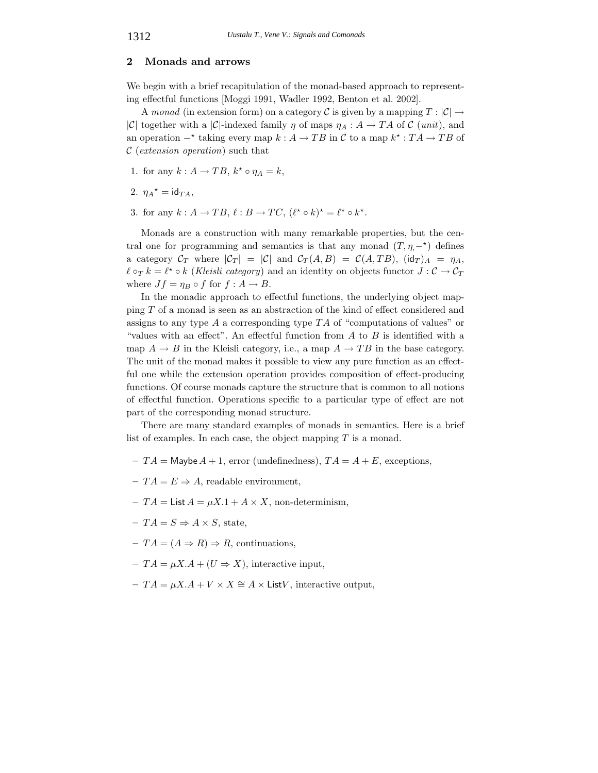## **2 Monads and arrows**

We begin with a brief recapitulation of the monad-based approach to representing effectful functions [Moggi 1991, Wadler 1992, Benton et al. 2002].

A *monad* (in extension form) on a category C is given by a mapping  $T : |\mathcal{C}| \to$ |C| together with a |C|-indexed family  $\eta$  of maps  $\eta_A : A \to TA$  of C (*unit*), and an operation  $-$ <sup>\*</sup> taking every map  $k : A \to TB$  in C to a map  $k^* : TA \to TB$  of C (*extension operation*) such that

- 1. for any  $k : A \to TB$ ,  $k^* \circ \eta_A = k$ ,
- 2.  $\eta_A{}^{\star} = \mathsf{id}_{TA}$ ,
- 3. for any  $k : A \to TB, \ell : B \to TC, (\ell^* \circ k)^* = \ell^* \circ k^*$ .

Monads are a construction with many remarkable properties, but the central one for programming and semantics is that any monad  $(T, \eta, -\star)$  defines a category  $\mathcal{C}_T$  where  $|\mathcal{C}_T| = |\mathcal{C}|$  and  $\mathcal{C}_T(A, B) = \mathcal{C}(A, TB)$ ,  $(id_T)_A = \eta_A$ , where  $Jf = \eta_B \circ f$  for  $f : A \to B$ .  $\ell \circ_T k = \ell^* \circ k$  (*Kleisli category*) and an identity on objects functor  $J : \mathcal{C} \to \mathcal{C}_T$ <br>where  $Jf = r \circ f$  for  $f : A \to P$ 

In the monadic approach to effectful functions, the underlying object mapping T of a monad is seen as an abstraction of the kind of effect considered and assigns to any type  $A$  a corresponding type  $TA$  of "computations of values" or "values with an effect". An effectful function from  $A$  to  $B$  is identified with a map  $A \to B$  in the Kleisli category, i.e., a map  $A \to TB$  in the base category. The unit of the monad makes it possible to view any pure function as an effectful one while the extension operation provides composition of effect-producing functions. Of course monads capture the structure that is common to all notions of effectful function. Operations specific to a particular type of effect are not part of the corresponding monad structure.

There are many standard examples of monads in semantics. Here is a brief list of examples. In each case, the object mapping T is a monad.

- $-TA =$  Maybe  $A + 1$ , error (undefinedness),  $TA = A + E$ , exceptions,
- $-TA = E \Rightarrow A$ , readable environment,
- $-TA = List A = \mu X.1 + A \times X$ , non-determinism,
- $-TA = S \Rightarrow A \times S$ , state,
- $-TA = (A \Rightarrow R) \Rightarrow R$ , continuations,
- $-TA = \mu X.A + (U \Rightarrow X)$ , interactive input,
- $-TA = \mu X.A + V \times X \cong A \times ListV$ , interactive output,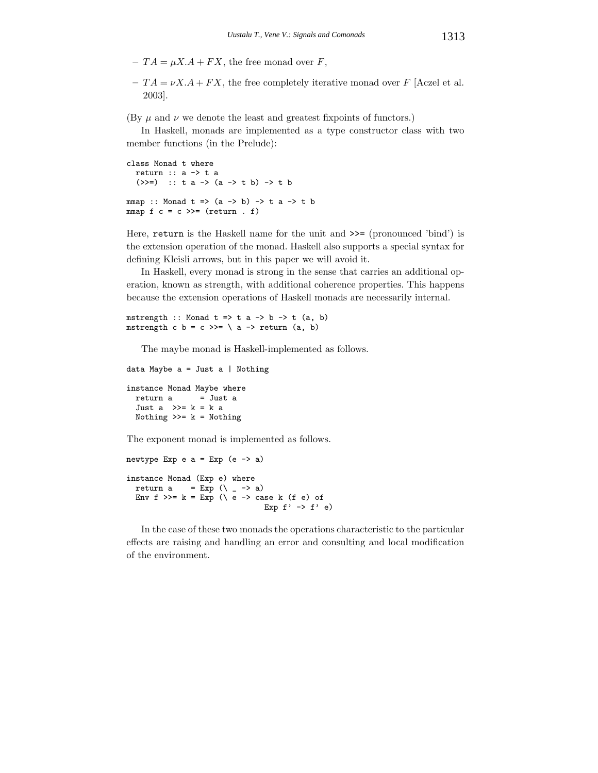- $-TA = \mu X.A + FX$ , the free monad over F,
- $-TA = \nu X.A + FX$ , the free completely iterative monad over F [Aczel et al. 2003].

(By  $\mu$  and  $\nu$  we denote the least and greatest fixpoints of functors.)

In Haskell, monads are implemented as a type constructor class with two member functions (in the Prelude):

class Monad t where return  $: a \rightarrow t a$ (>>=) :: t a -> (a -> t b) -> t b mmap :: Monad  $t \Rightarrow$  (a -> b) ->  $t a$  ->  $t b$ mmap  $f \nc = c \n\geq \n\equiv$  (return . f)

Here, return is the Haskell name for the unit and  $\gg$  = (pronounced 'bind') is the extension operation of the monad. Haskell also supports a special syntax for defining Kleisli arrows, but in this paper we will avoid it.

In Haskell, every monad is strong in the sense that carries an additional operation, known as strength, with additional coherence properties. This happens because the extension operations of Haskell monads are necessarily internal.

mstrength :: Monad  $t \Rightarrow t$  a  $\Rightarrow$  b  $\Rightarrow$   $t$  (a, b) mstrength c  $b = c \gg = \langle a - \rangle$  return  $(a, b)$ 

The maybe monad is Haskell-implemented as follows.

```
data Maybe a = Just a | Notninginstance Monad Maybe where
 return a = Just aJust a \gg=k=k a
 Nothing \gg = k = Nothing
```
The exponent monad is implemented as follows.

```
newtype Exp e a = Exp (e \rightarrow a)
instance Monad (Exp e) where
  return a = Exp (\lambda - \rightarrow a)Env f \gg = k = Exp (\ e -> case k (f e) of
                                     Exp f' \rightarrow f' e)
```
In the case of these two monads the operations characteristic to the particular effects are raising and handling an error and consulting and local modification of the environment.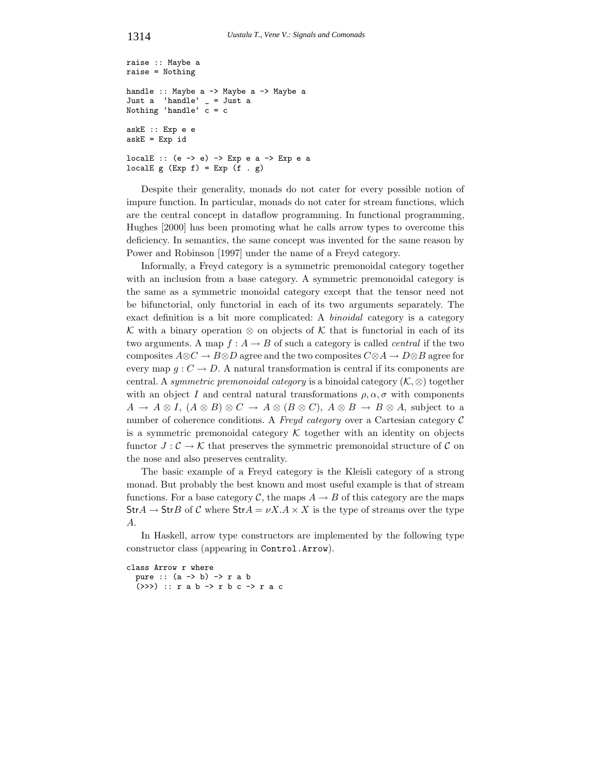```
raise :: Maybe a
raise = Nothing
handle :: Maybe a -> Maybe a -> Maybe a
Just a 'handle' = Just a
Nothing 'handle' c = c
askE :: Exp e e
askE = Exp idlocalE :: (e -> e) -> Exp e a -> Exp e a
localE g (Exp f) = Exp (f g)
```
Despite their generality, monads do not cater for every possible notion of impure function. In particular, monads do not cater for stream functions, which are the central concept in dataflow programming. In functional programming, Hughes [2000] has been promoting what he calls arrow types to overcome this deficiency. In semantics, the same concept was invented for the same reason by Power and Robinson [1997] under the name of a Freyd category.

Informally, a Freyd category is a symmetric premonoidal category together with an inclusion from a base category. A symmetric premonoidal category is the same as a symmetric monoidal category except that the tensor need not be bifunctorial, only functorial in each of its two arguments separately. The exact definition is a bit more complicated: A *binoidal* category is a category K with a binary operation ⊗ on objects of K that is functorial in each of its two arguments. A map  $f : A \to B$  of such a category is called *central* if the two composites  $A \otimes C \to B \otimes D$  agree and the two composites  $C \otimes A \to D \otimes B$  agree for every map  $g: C \to D$ . A natural transformation is central if its components are central. A *symmetric premonoidal category* is a binoidal category  $(K, \otimes)$  together with an object I and central natural transformations  $\rho, \alpha, \sigma$  with components  $A \to A \otimes I$ ,  $(A \otimes B) \otimes C \to A \otimes (B \otimes C)$ ,  $A \otimes B \to B \otimes A$ , subject to a number of coherence conditions. A *Freyd category* over a Cartesian category C is a symmetric premonoidal category  $\mathcal K$  together with an identity on objects functor  $J: \mathcal{C} \to \mathcal{K}$  that preserves the symmetric premonoidal structure of  $\mathcal{C}$  on the nose and also preserves centrality.

The basic example of a Freyd category is the Kleisli category of a strong monad. But probably the best known and most useful example is that of stream functions. For a base category C, the maps  $A \to B$  of this category are the maps  $Str A \to Str B$  of C where  $Str A = \nu X.A \times X$  is the type of streams over the type A.

In Haskell, arrow type constructors are implemented by the following type constructor class (appearing in Control.Arrow).

class Arrow r where pure :: (a -> b) -> r a b (>>>) :: r a b -> r b c -> r a c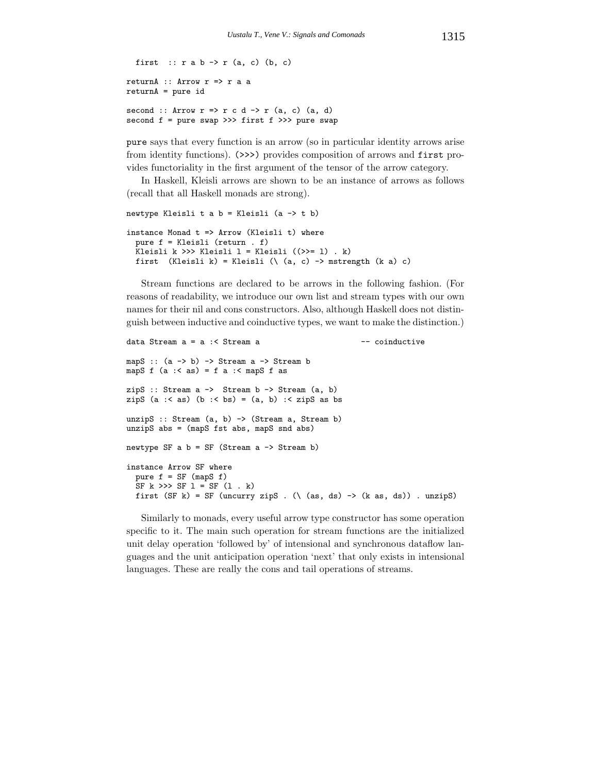```
first :: r a b \rightarrow r (a, c) (b, c)returnA :: Arrow r => r a a
returnA = pure id
second :: Arrow r \Rightarrow r \cdot d \Rightarrow r \cdot (a, c) \cdot (a, d)second f = pure swap \gg first f \gg\rangle pure swap
```
pure says that every function is an arrow (so in particular identity arrows arise from identity functions). (>>>) provides composition of arrows and first provides functoriality in the first argument of the tensor of the arrow category.

In Haskell, Kleisli arrows are shown to be an instance of arrows as follows (recall that all Haskell monads are strong).

```
newtype Kleisli t a b = Kleisli (a -> t b)
instance Monad t \Rightarrow Arrow (Kleisli t) where
  pure f = Kleisli (return . f)
  Kleisli k >>> Kleisli l = Kleisli ((>>= l) . k)
  first (Kleisli k) = Kleisli (\ (a, c) -> mstrength (k a) c)
```
Stream functions are declared to be arrows in the following fashion. (For reasons of readability, we introduce our own list and stream types with our own names for their nil and cons constructors. Also, although Haskell does not distinguish between inductive and coinductive types, we want to make the distinction.)

```
data Stream a = a :< Stream a -- coinductive
mapS :: (a \rightarrow b) \rightarrow Stream a \rightarrow Stream b
mapS f (a : < as) = f a : < mapS f as
zipS :: Stream a -> Stream b -> Stream (a, b)
zipS (a : < as) (b : <bs) = (a, b) : <zipS as bs
unzipS :: Stream (a, b) -> (Stream a, Stream b)
unzipS abs = (mapS fst abs, mapS snd abs)
newtype SF a b = SF (Stream a \rightarrow Stream b)
instance Arrow SF where
 pure f = SF (mapS f)
  SF k >> SF 1 = SF (1 . k)
 first (SF k) = SF (uncurry zipS . (\{as, ds\}) ->(ks, ds)). unzipS)
```
Similarly to monads, every useful arrow type constructor has some operation specific to it. The main such operation for stream functions are the initialized unit delay operation 'followed by' of intensional and synchronous dataflow languages and the unit anticipation operation 'next' that only exists in intensional languages. These are really the cons and tail operations of streams.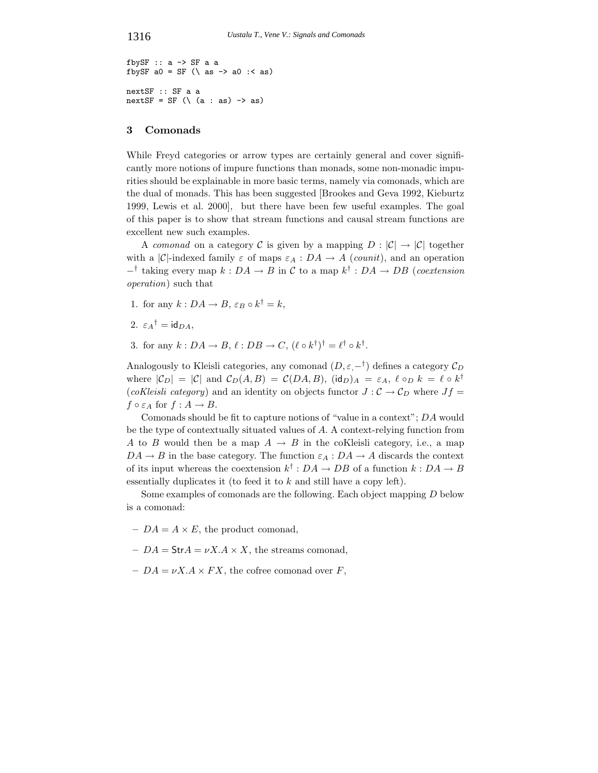```
fbySF :: a -> SF a a
fbySF a0 = SF (\ as -> a0 :< as)
nextSF :: SF a a
nextSF = SF (\{ a : as \} -> as)
```
### **3 Comonads**

While Freyd categories or arrow types are certainly general and cover significantly more notions of impure functions than monads, some non-monadic impurities should be explainable in more basic terms, namely via comonads, which are the dual of monads. This has been suggested [Brookes and Geva 1992, Kieburtz 1999, Lewis et al. 2000], but there have been few useful examples. The goal of this paper is to show that stream functions and causal stream functions are excellent new such examples.

A *comonad* on a category C is given by a mapping  $D : |\mathcal{C}| \to |\mathcal{C}|$  together with a  $|\mathcal{C}|$ -indexed family  $\varepsilon$  of maps  $\varepsilon_A : DA \to A$  (*counit*), and an operation <sup>−</sup>*†* taking every map k : DA <sup>→</sup> B in <sup>C</sup> to a map k*†* : DA <sup>→</sup> DB (*coextension operation*) such that

- 1. for any  $k:DA\to B, \varepsilon_B\circ k^{\dagger}=k$ ,
- 2.  $\varepsilon_A^{\dagger} = id_{DA}$ ,
- 3. for any  $k: DA \to B$ ,  $\ell: DB \to C$ ,  $(\ell \circ k^{\dagger})^{\dagger} = \ell^{\dagger} \circ k^{\dagger}$ .

Analogously to Kleisli categories, any comonad  $(D, \varepsilon, -\dagger)$  defines a category  $\mathcal{C}_D$ where  $|\mathcal{C}_D| = |\mathcal{C}|$  and  $\mathcal{C}_D(A, B) = \mathcal{C}(DA, B)$ ,  $(id_D)_A = \varepsilon_A$ ,  $\ell \circ_D k = \ell \circ k^{\dagger}$ <br>(*ooKloisk setseare)* and an identity on objects functor  $I, \mathcal{C} \rightarrow \mathcal{C}$ , where  $If$ (*coKleisli category*) and an identity on objects functor  $J: \mathcal{C} \to \mathcal{C}_D$  where  $Jf =$  $f \circ \varepsilon_A$  for  $f : A \to B$ .

Comonads should be fit to capture notions of "value in a context"; DA would be the type of contextually situated values of A. A context-relying function from A to B would then be a map  $A \rightarrow B$  in the coKleisli category, i.e., a map  $DA \rightarrow B$  in the base category. The function  $\varepsilon_A : DA \rightarrow A$  discards the context of its input whereas the coextension  $k^{\dagger}$  :  $DA \rightarrow DB$  of a function  $k : DA \rightarrow B$ essentially duplicates it (to feed it to  $k$  and still have a copy left).

Some examples of comonads are the following. Each object mapping D below is a comonad:

- $-DA = A \times E$ , the product comonad,
- $DA = StrA = \nu X.A \times X$ , the streams comonad,
- $DA = \nu X.A \times FX$ , the cofree comonad over F,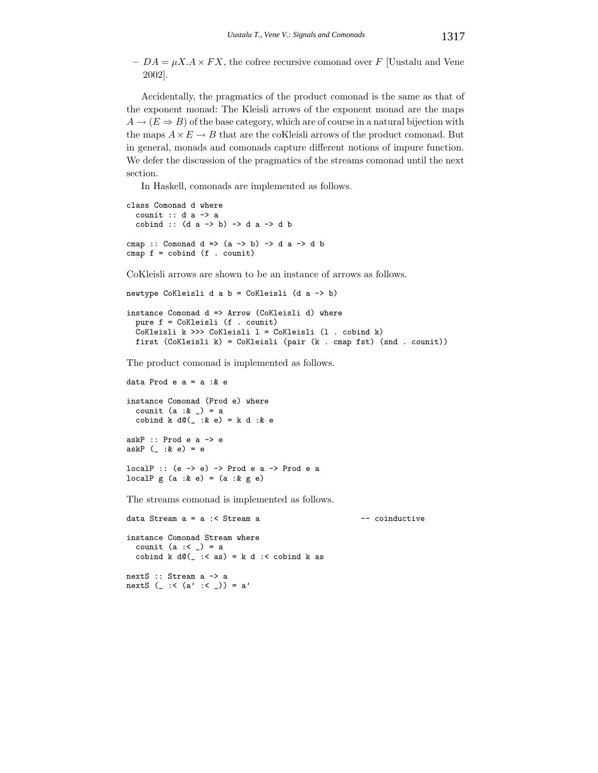$- DA = \mu X.A \times FX$ , the cofree recursive comonad over F [Uustalu and Vene 2002].

Accidentally, the pragmatics of the product comonad is the same as that of the exponent monad: The Kleisli arrows of the exponent monad are the maps  $A \rightarrow (E \Rightarrow B)$  of the base category, which are of course in a natural bijection with the maps  $A \times E \to B$  that are the coKleisli arrows of the product comonad. But in general, monads and comonads capture different notions of impure function. We defer the discussion of the pragmatics of the streams comonad until the next section.

In Haskell, comonads are implemented as follows.

```
class Comonad d where
   counit :: d a -> a
   cobind :: (d a \rightarrow b) \rightarrow d a \rightarrow d bcmap :: Comonad d \Rightarrow (a \Rightarrow b) \Rightarrow d \ne a \Rightarrow d \ne bcmap f = \text{cobind} (f \cdot \text{count})
```
CoKleisli arrows are shown to be an instance of arrows as follows.

newtype CoKleisli d a b = CoKleisli (d a -> b)

```
instance Comonad d => Arrow (CoKleisli d) where
 pure f = CoKleisli (f . counit)
  CoKleisli k >>> CoKleisli l = CoKleisli (l . cobind k)
 first (CoKleisli k) = CoKleisli (pair (k . cmap fst) (snd . counit))
```
The product comonad is implemented as follows.

```
data Prod e a = a :& e
instance Comonad (Prod e) where
  counit (a : k) = acobind k d@(\_ :& e) = k d :& easkP :: Prod e a -> e
askP (= : \& e) = elocalP :: (e \rightarrow e) \rightarrow Prod e a \rightarrow Prod e a
localP g (a : & e) = (a : & g e)
```
The streams comonad is implemented as follows.

```
data Stream a = a :< Stream a -- coinductive
instance Comonad Stream where
  counit (a : \langle \rangle = a
  cobind k d\mathbb{Q} : < as) = k d : < cobind k as
nextS :: Stream a -> a
nextS ( :< (a' : < ) = a'
```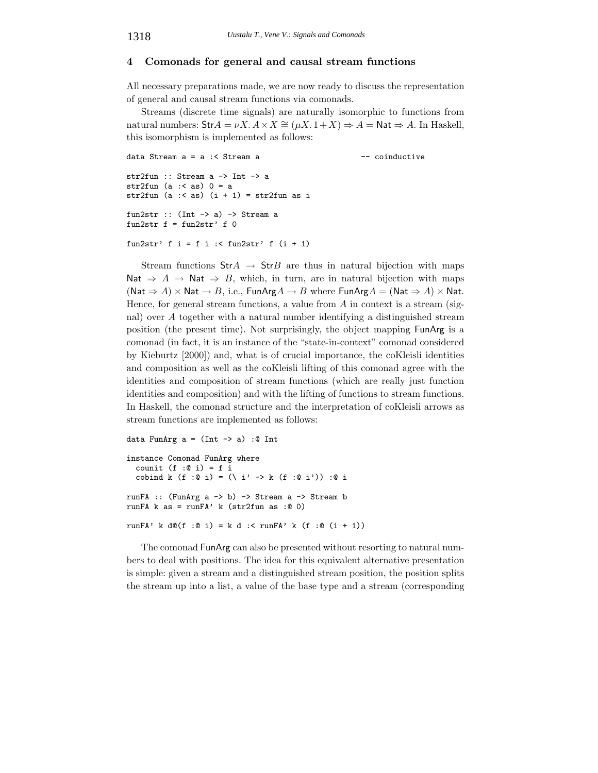# **4 Comonads for general and causal stream functions**

All necessary preparations made, we are now ready to discuss the representation of general and causal stream functions via comonads.

Streams (discrete time signals) are naturally isomorphic to functions from natural numbers:  $\text{Str}A = \nu X. A \times X \cong (\mu X. 1 + X) \Rightarrow A = \text{Nat} \Rightarrow A.$  In Haskell, this isomorphism is implemented as follows:

```
data Stream a = a :< Stream a -- coinductive
str2fun :: Stream a -> Int -> a
str2fun (a : as) 0 = astr2fun (a : (as) (i + 1) = str2fun as i
fun2str :: (int -> a) -> Stream afun2str f = fun2str' f 0fun2str' f i = f i :< fun2str' f (i + 1)
```
Stream functions  $StrA \rightarrow StrB$  are thus in natural bijection with maps Nat  $\Rightarrow$  A → Nat  $\Rightarrow$  B, which, in turn, are in natural bijection with maps (Nat  $\Rightarrow$  A)  $\times$  Nat  $\rightarrow$  B, i.e., FunArg $A \rightarrow B$  where FunArg $A = (Nat \Rightarrow A) \times Nat$ . Hence, for general stream functions, a value from  $A$  in context is a stream (signal) over A together with a natural number identifying a distinguished stream position (the present time). Not surprisingly, the object mapping FunArg is a comonad (in fact, it is an instance of the "state-in-context" comonad considered by Kieburtz [2000]) and, what is of crucial importance, the coKleisli identities and composition as well as the coKleisli lifting of this comonad agree with the identities and composition of stream functions (which are really just function identities and composition) and with the lifting of functions to stream functions. In Haskell, the comonad structure and the interpretation of coKleisli arrows as stream functions are implemented as follows:

```
data FunArg a = (Int -> a) :: 0 Int
```

```
instance Comonad FunArg where
  counit (f : @ i) = f icobind k (f :0 i) = (\n\langle i' \rangle \rightarrow k (f :0 i')) :0 i
runFA :: (FunArg a -> b) -> Stream a -> Stream b
runFA k as = runFA' k (str2fun as :0 0)
runFA' k dQ(f : Q i) = k d : <br>runFA' k (f : Q (i + 1))
```
The comonad FunArg can also be presented without resorting to natural numbers to deal with positions. The idea for this equivalent alternative presentation is simple: given a stream and a distinguished stream position, the position splits the stream up into a list, a value of the base type and a stream (corresponding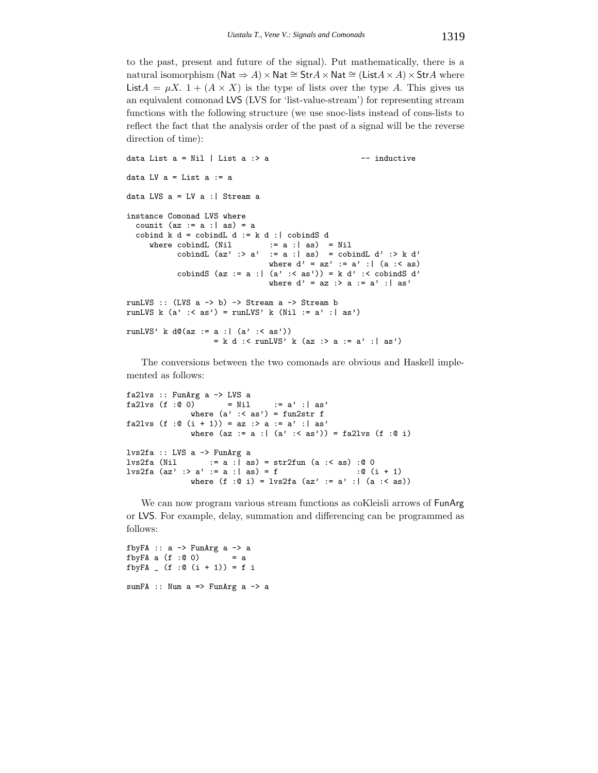to the past, present and future of the signal). Put mathematically, there is a natural isomorphism (Nat  $\Rightarrow$  A) × Nat ≅ StrA × Nat ≅ (ListA × A) × StrA where List  $A = \mu X$ .  $1 + (A \times X)$  is the type of lists over the type A. This gives us an equivalent comonad LVS (LVS for 'list-value-stream') for representing stream functions with the following structure (we use snoc-lists instead of cons-lists to reflect the fact that the analysis order of the past of a signal will be the reverse direction of time):

```
data List a = Nil \mid List \ a :> a -- inductive
data LV a = List a := adata LVS a = LV a : Stream a
instance Comonad LVS where
  counit (az := a : | as) = acobind k d = cobindL d := k d :| cobindS d<br>where cobindL (Nil := a :| as) = Nil
     where cobindL (Nil
           cobindL (az' :> a' := a : | as) = \text{cobindL } d' :> k d'where d' = az' := a' : | (a : < as)cobindS (az := a :| (a' :< as')) = k d' :< cobindS d'
                                  where d' = az :> a := a' : | as'runLVS :: (LVS a \rightarrow b) \rightarrow Stream a \rightarrow Stream brunLVS k (a' :< as') = runLVS' k (Nil := a' :| as')
runLVS' k d@(az := a : | (a' : < as'))= k d :< runLVS' k (az :> a := a' :| as')
```
The conversions between the two comonads are obvious and Haskell implemented as follows:

```
fa2lvs :: FunArg a -> LVS a
fa2lvs (f : @ 0) = Nil ; a' :| as'where (a' : <as') = fun2str ffa2lvs (f : 0 (i + 1)) = az : > a := a' : | as'where (az := a : | (a' : < as')) = fa2lvs (f : @ i)lvs2fa :: LVS a -> FunArg a
lvs2fa (Nil := a :| as) = str2fun (a :< as) :@ 0<br>lvs2fa (az' :> a' := a :| as) = f :@ (i + 1)
lvs2fa (az' :> a' := a : | as) = fwhere (f : 0 i) = 1 \vee 2fa (az' := a' : | (a : < as))
```
We can now program various stream functions as coKleisli arrows of FunArg or LVS. For example, delay, summation and differencing can be programmed as follows:

```
fbyFA :: a \rightarrow FunArg a \rightarrow afbyFA a (f : @ 0) = afbyFA _{-} (f :0 (i + 1)) = f i
sumFA :: Num a => FunArg a -> a
```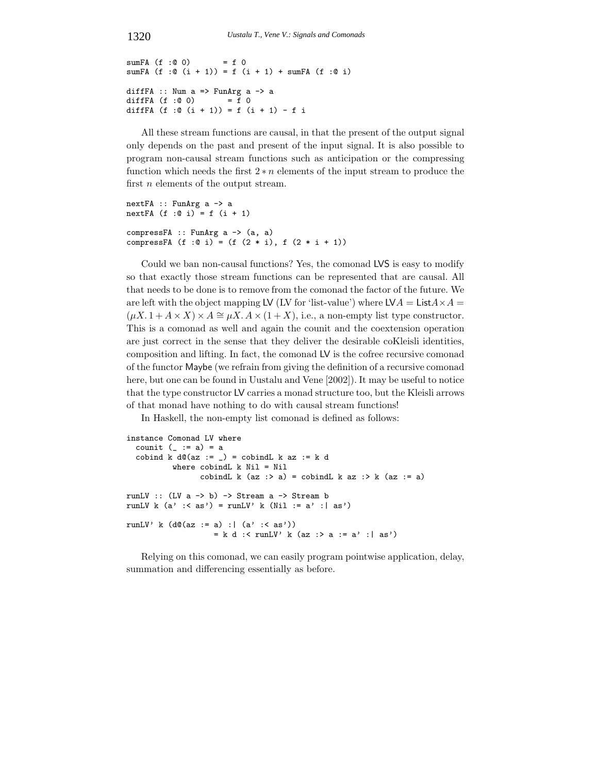```
sumFA (f : @0) = f 0sumFA (f : @ (i + 1)) = f (i + 1) + sumFA (f : @ i)diffFA :: Num a => FunArg a -> a<br>diffFA (f : @ 0) = f 0diffFA (f : @ 0)diffFA (f : @ (i + 1)) = f (i + 1) - f i
```
All these stream functions are causal, in that the present of the output signal only depends on the past and present of the input signal. It is also possible to program non-causal stream functions such as anticipation or the compressing function which needs the first  $2 * n$  elements of the input stream to produce the first n elements of the output stream.

```
nextFA :: FunArg a -> a
nextFA (f : 0 i) = f (i + 1)compressFA :: FunArg a \rightarrow (a, a)compressFA (f : @ i) = (f (2 * i), f (2 * i + 1))
```
Could we ban non-causal functions? Yes, the comonad LVS is easy to modify so that exactly those stream functions can be represented that are causal. All that needs to be done is to remove from the comonad the factor of the future. We are left with the object mapping LV (LV for 'list-value') where  $LVA = ListA \times A$  $(\mu X. 1 + A \times X) \times A \cong \mu X. A \times (1 + X)$ , i.e., a non-empty list type constructor. This is a comonad as well and again the counit and the coextension operation are just correct in the sense that they deliver the desirable coKleisli identities, composition and lifting. In fact, the comonad LV is the cofree recursive comonad of the functor Maybe (we refrain from giving the definition of a recursive comonad here, but one can be found in Uustalu and Vene [2002]). It may be useful to notice that the type constructor LV carries a monad structure too, but the Kleisli arrows of that monad have nothing to do with causal stream functions!

In Haskell, the non-empty list comonad is defined as follows:

```
instance Comonad LV where
  counit ( := a) = a
  cobind k dQ(az := ) = cobindL k az := k dwhere cobindL k Nil = Nil
                 cobindL k (az :> a) = \text{cobindL } k az :> k (az := a)runLV :: (LV a \rightarrow b) \rightarrow Stream a \rightarrow Stream b
runLV k (a' : <as') = runLV' k (Nil := a' : | as')runLV' k (d@(az := a) : | (a' : < as'))= k d :< runLV' k (az :> a := a' :| as')
```
Relying on this comonad, we can easily program pointwise application, delay, summation and differencing essentially as before.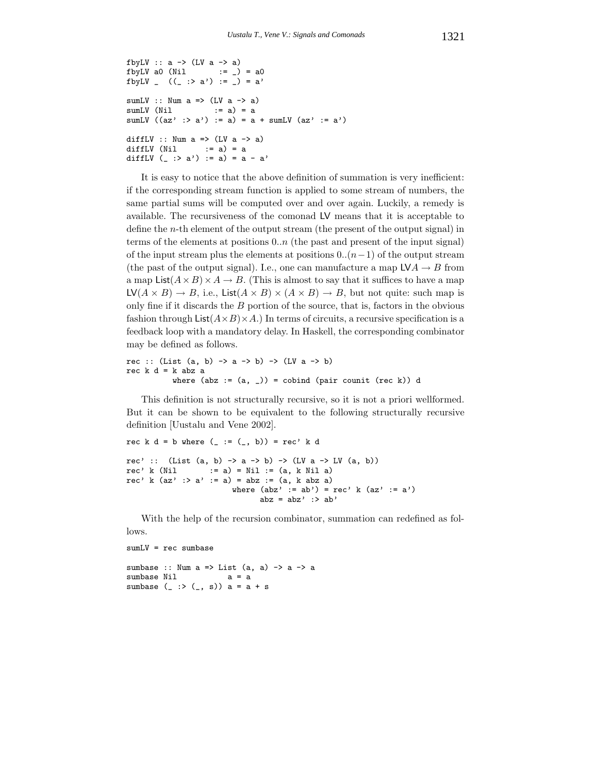```
fbyLV :: a \rightarrow (LV a \rightarrow a)fbyLV a0 (Nil := = = = \alpha0
fbyLV _ ((_ :> a') := _) = a'
sumLV :: Num a \Rightarrow (LV a \rightarrow a)
sumLV (Nil := a) = asumLV ((az' :> a') := a) = a + sumLV (az' := a')diffLV :: Num a \Rightarrow (LV a \rightarrow a)
diffLV (Nil \t := a) = adiffLV ( :> a') := a) = a - a'
```
It is easy to notice that the above definition of summation is very inefficient: if the corresponding stream function is applied to some stream of numbers, the same partial sums will be computed over and over again. Luckily, a remedy is available. The recursiveness of the comonad LV means that it is acceptable to define the *n*-th element of the output stream (the present of the output signal) in terms of the elements at positions 0..n (the past and present of the input signal) of the input stream plus the elements at positions  $0..(n-1)$  of the output stream (the past of the output signal). I.e., one can manufacture a map  $\mathsf{LVA} \to B$  from a map  $List(A \times B) \times A \rightarrow B$ . (This is almost to say that it suffices to have a map  $\mathsf{LV}(A \times B) \to B$ , i.e., List $(A \times B) \times (A \times B) \to B$ , but not quite: such map is only fine if it discards the  $B$  portion of the source, that is, factors in the obvious fashion through  $List(A\times B)\times A$ . In terms of circuits, a recursive specification is a feedback loop with a mandatory delay. In Haskell, the corresponding combinator may be defined as follows.

```
rec :: (List (a, b) \rightarrow a \rightarrow b) -> (LV a \rightarrow b)
rec k d = k abz a
            where (abc := (a, )) = cobind (pair counit (rec k)) d
```
This definition is not structurally recursive, so it is not a priori wellformed. But it can be shown to be equivalent to the following structurally recursive definition [Uustalu and Vene 2002].

```
rec k d = b where ( := (, b)) = rec' k d
rec' :: (List (a, b) \rightarrow a \rightarrow b) \rightarrow (LV a \rightarrow LV (a, b))
rec' k (Nil \t := a) = Nil := (a, k Nil a)rec' k (az' :> a' := a) = abz := (a, k abz a)where (abc' := ab') = rec' k (az' := a')abz = abz' :> ab'
```
With the help of the recursion combinator, summation can redefined as follows.

```
sumLV = rec sumbase
```
sumbase :: Num a => List  $(a, a)$  -> a -> a sumbase Nil a = a sumbase  $($  :>  $($ , s)  $)$  a = a + s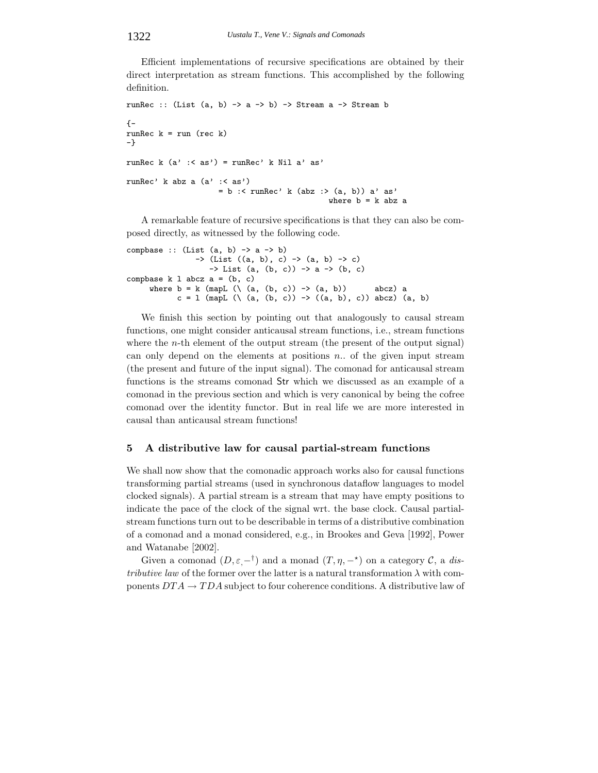Efficient implementations of recursive specifications are obtained by their direct interpretation as stream functions. This accomplished by the following definition.

```
runRec :: (List (a, b) \rightarrow a \rightarrow b) \rightarrow Stream a \rightarrow Stream b
{-
runRec k = run (rec k)
-}
runRec k (a' : <as') = runRec' k Nil a' as'
runRec' k abz a (a' :< as')
                        = b :< runRec' k (abz :> (a, b)) a' as'
                                                     where b = k abz a
```
A remarkable feature of recursive specifications is that they can also be composed directly, as witnessed by the following code.

```
compbase :: (List (a, b) \rightarrow a \rightarrow b)
                    \rightarrow (List ((a, b), c) \rightarrow (a, b) \rightarrow c)
                        \rightarrow List (a, (b, c)) \rightarrow a \rightarrow (b, c)
compbase k 1 abcz a = (b, c)where b = k (mapL (\{a, (b, c)) \rightarrow (a, b)\} abcz) a
              c = 1 (mapL (\{ (a, (b, c)) \rightarrow ((a, b), c) \} abcz) (a, b)
```
We finish this section by pointing out that analogously to causal stream functions, one might consider anticausal stream functions, i.e., stream functions where the  $n$ -th element of the output stream (the present of the output signal) can only depend on the elements at positions  $n$ . of the given input stream (the present and future of the input signal). The comonad for anticausal stream functions is the streams comonad Str which we discussed as an example of a comonad in the previous section and which is very canonical by being the cofree comonad over the identity functor. But in real life we are more interested in causal than anticausal stream functions!

## **5 A distributive law for causal partial-stream functions**

We shall now show that the comonadic approach works also for causal functions transforming partial streams (used in synchronous dataflow languages to model clocked signals). A partial stream is a stream that may have empty positions to indicate the pace of the clock of the signal wrt. the base clock. Causal partialstream functions turn out to be describable in terms of a distributive combination of a comonad and a monad considered, e.g., in Brookes and Geva [1992], Power and Watanabe [2002].

Given a comonad  $(D, \varepsilon, -^{\dagger})$  and a monad  $(T, \eta, -^{\star})$  on a category  $\mathcal{C}$ , a *distributive law* of the former over the latter is a natural transformation  $\lambda$  with components  $DTA \rightarrow TDA$  subject to four coherence conditions. A distributive law of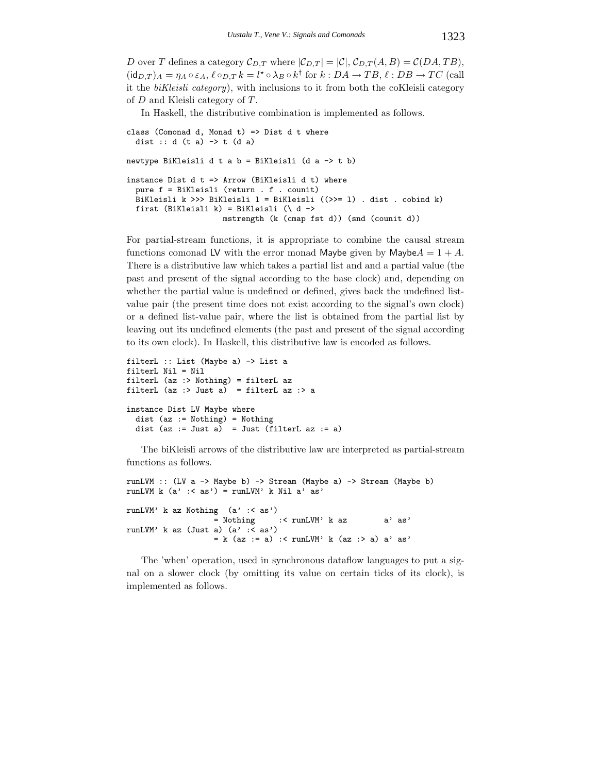D over T defines a category  $\mathcal{C}_{D,T}$  where  $|\mathcal{C}_{D,T}| = |\mathcal{C}|$ ,  $\mathcal{C}_{D,T}(A,B) = \mathcal{C}(DA,TB)$ ,  $(id_{D,T})_A = \eta_A \circ \varepsilon_A, \ell \circ_{D,T} k = l^* \circ \lambda_B \circ k^{\dagger}$  for  $k : DA \to TB, \ell : DB \to TC$  (call<br>it the hillicial estaceme) with inclusions to it from both the collision estacement it the *biKleisli category*), with inclusions to it from both the coKleisli category of  $D$  and Kleisli category of  $T$ .

In Haskell, the distributive combination is implemented as follows.

```
class (Comonad d, Monad t) => Dist d t where
  dist :: d (t a) -> t (d a)newtype BiKleisli d t a b = BiKleisli (d a -> t b)
instance Dist d t => Arrow (BiKleisli d t) where
  pure f = BiKleisli (return . f . counit)
  BiKleisli k >>> BiKleisli l = BiKleisli ((>>= l) . dist . cobind k)
  first (BiKleisli k) = BiKleisli (\nabla d \rightarrowmstrength (k (cmap fst d)) (snd (counit d))
```
For partial-stream functions, it is appropriate to combine the causal stream functions comonad LV with the error monad Maybe given by Maybe $A = 1 + A$ . There is a distributive law which takes a partial list and and a partial value (the past and present of the signal according to the base clock) and, depending on whether the partial value is undefined or defined, gives back the undefined listvalue pair (the present time does not exist according to the signal's own clock) or a defined list-value pair, where the list is obtained from the partial list by leaving out its undefined elements (the past and present of the signal according to its own clock). In Haskell, this distributive law is encoded as follows.

```
filterL :: List (Maybe a) -> List a
filterL Nil = Nil
filterL (az :> Nothing) = filterL az
filterL (az :> Just a) = filterL az :> a
instance Dist LV Maybe where
  dist (az := Nothing) = Nothing
  dist (az := Just a) = Just (filterL az := a)
```
The biKleisli arrows of the distributive law are interpreted as partial-stream functions as follows.

```
runLVM :: (LV a -> Maybe b) -> Stream (Maybe a) -> Stream (Maybe b)
runLVM k (a' : <as') = runLVM' k Nil a' as'
runLVM' k az Nothing (a' :< as')
                   = Nothing \therefore runLVM' k az a' as'
runLVM' k az (Just a) (a' : s as')= k (az := a) :< runLVM' k (az :> a) a' as'
```
The 'when' operation, used in synchronous dataflow languages to put a signal on a slower clock (by omitting its value on certain ticks of its clock), is implemented as follows.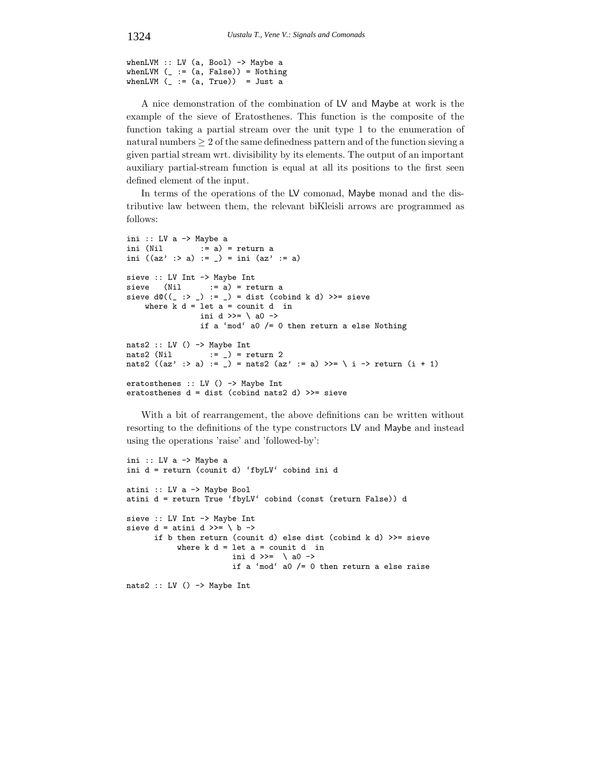whenLVM :: LV (a, Bool) -> Maybe a whenLVM  $($  :=  $(a, False)$  = Nothing whenLVM  $($  :=  $(a, True)$  = Just a

A nice demonstration of the combination of LV and Maybe at work is the example of the sieve of Eratosthenes. This function is the composite of the function taking a partial stream over the unit type 1 to the enumeration of natural numbers  $\geq 2$  of the same definedness pattern and of the function sieving a given partial stream wrt. divisibility by its elements. The output of an important auxiliary partial-stream function is equal at all its positions to the first seen defined element of the input.

In terms of the operations of the LV comonad, Maybe monad and the distributive law between them, the relevant biKleisli arrows are programmed as follows:

```
ini :: LV a \rightarrow Maybe a<br>ini (Nil := a) :
           := a) = return a
ini ((az' :> a) := _ ) = ini (az' := a)sieve :: LV Int -> Maybe Int
sieve (Nil \t:= a) = return asieve d\mathbb{O}((\_: > _\_) := _-) = dist (cobind k d) >> sievewhere k d = let a = counit d in
                  ini d \gg = \ \setminus a0 \rightarrowif a 'mod' a0 /= 0 then return a else Nothing
nats2 :: LV () -> Maybe Int<br>nats2 (Nil := _) = re
             := -) = return 2
nats2 ((az' :> a) := _) = nats2 (az' := a) >>= \ i -> return (i + 1)
eratosthenes :: LV () -> Maybe Int
eratosthenes d = dist (cobind nats2 d) >>= sieve
```
With a bit of rearrangement, the above definitions can be written without resorting to the definitions of the type constructors LV and Maybe and instead using the operations 'raise' and 'followed-by':

```
ini :: LV a -> Maybe a
ini d = return (counit d) 'fbyLV' cobind ini d
atini :: LV a -> Maybe Bool
atini d = return True 'fbyLV' cobind (const (return False)) d
sieve :: LV Int -> Maybe Int
sieve d = atini d >>= \backslash b ->
      if b then return (counit d) else dist (cobind k d) \gg sieve
           where k d = let a = count d in
                       ini d >>= \ a0 ->
                       if a 'mod' a0 /= 0 then return a else raise
```
nats2 :: LV () -> Maybe Int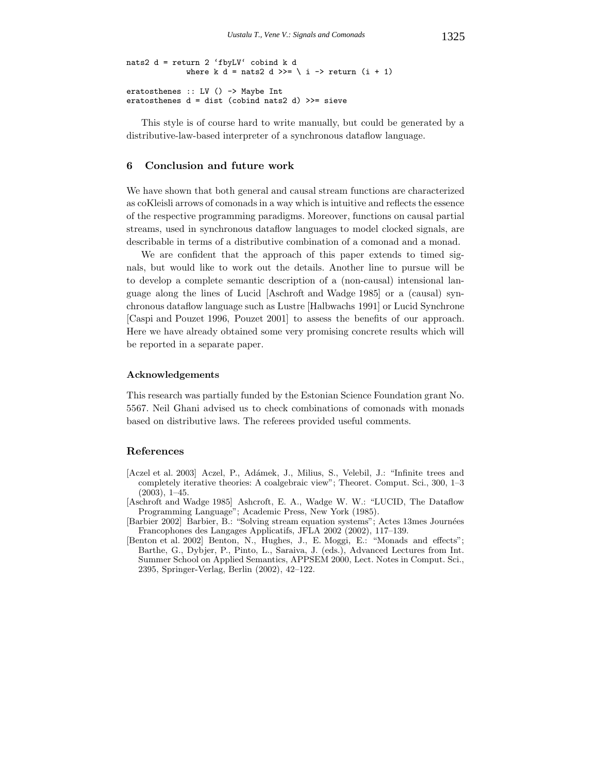```
nats2 d = return 2 'fbyLV' cobind k d
             where k d = nats2 d >>= \ i -> return (i + 1)eratosthenes :: LV () -> Maybe Int
eratosthenes d = dist (cobind nats2 d) >>= sieve
```
This style is of course hard to write manually, but could be generated by a distributive-law-based interpreter of a synchronous dataflow language.

# **6 Conclusion and future work**

We have shown that both general and causal stream functions are characterized as coKleisli arrows of comonads in a way which is intuitive and reflects the essence of the respective programming paradigms. Moreover, functions on causal partial streams, used in synchronous dataflow languages to model clocked signals, are describable in terms of a distributive combination of a comonad and a monad.

We are confident that the approach of this paper extends to timed signals, but would like to work out the details. Another line to pursue will be to develop a complete semantic description of a (non-causal) intensional language along the lines of Lucid [Aschroft and Wadge 1985] or a (causal) synchronous dataflow language such as Lustre [Halbwachs 1991] or Lucid Synchrone [Caspi and Pouzet 1996, Pouzet 2001] to assess the benefits of our approach. Here we have already obtained some very promising concrete results which will be reported in a separate paper.

#### **Acknowledgements**

This research was partially funded by the Estonian Science Foundation grant No. 5567. Neil Ghani advised us to check combinations of comonads with monads based on distributive laws. The referees provided useful comments.

# **References**

- [Aczel et al. 2003] Aczel, P., Adámek, J., Milius, S., Velebil, J.: "Infinite trees and completely iterative theories: A coalgebraic view"; Theoret. Comput. Sci., 300, 1–3 (2003), 1–45.
- [Aschroft and Wadge 1985] Ashcroft, E. A., Wadge W. W.: "LUCID, The Dataflow Programming Language"; Academic Press, New York (1985).
- [Barbier 2002] Barbier, B.: "Solving stream equation systems"; Actes 13mes Journées Francophones des Langages Applicatifs, JFLA 2002 (2002), 117–139.
- [Benton et al. 2002] Benton, N., Hughes, J., E. Moggi, E.: "Monads and effects"; Barthe, G., Dybjer, P., Pinto, L., Saraiva, J. (eds.), Advanced Lectures from Int. Summer School on Applied Semantics, APPSEM 2000, Lect. Notes in Comput. Sci., 2395, Springer-Verlag, Berlin (2002), 42–122.